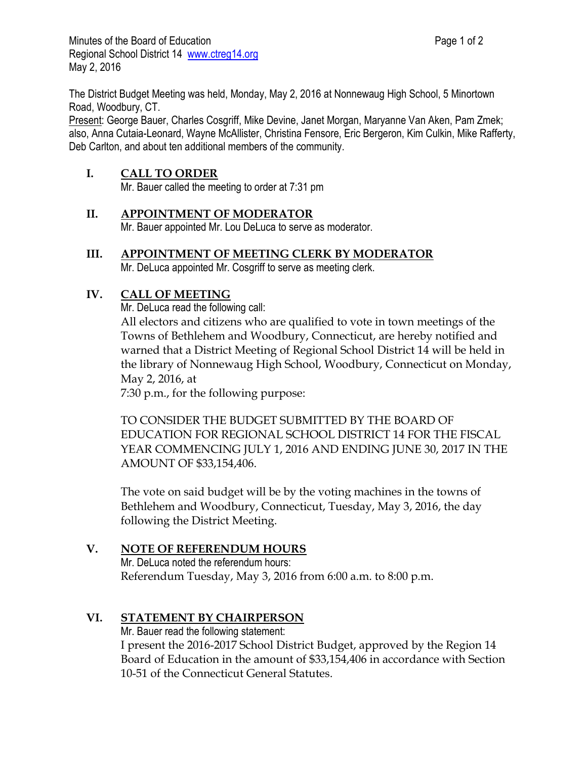The District Budget Meeting was held, Monday, May 2, 2016 at Nonnewaug High School, 5 Minortown Road, Woodbury, CT.

Present: George Bauer, Charles Cosgriff, Mike Devine, Janet Morgan, Maryanne Van Aken, Pam Zmek; also, Anna Cutaia-Leonard, Wayne McAllister, Christina Fensore, Eric Bergeron, Kim Culkin, Mike Rafferty, Deb Carlton, and about ten additional members of the community.

## **I. CALL TO ORDER**

Mr. Bauer called the meeting to order at 7:31 pm

### **II. APPOINTMENT OF MODERATOR**

Mr. Bauer appointed Mr. Lou DeLuca to serve as moderator.

**III. APPOINTMENT OF MEETING CLERK BY MODERATOR**

Mr. DeLuca appointed Mr. Cosgriff to serve as meeting clerk.

### **IV. CALL OF MEETING**

Mr. DeLuca read the following call:

All electors and citizens who are qualified to vote in town meetings of the Towns of Bethlehem and Woodbury, Connecticut, are hereby notified and warned that a District Meeting of Regional School District 14 will be held in the library of Nonnewaug High School, Woodbury, Connecticut on Monday, May 2, 2016, at

7:30 p.m., for the following purpose:

TO CONSIDER THE BUDGET SUBMITTED BY THE BOARD OF EDUCATION FOR REGIONAL SCHOOL DISTRICT 14 FOR THE FISCAL YEAR COMMENCING JULY 1, 2016 AND ENDING JUNE 30, 2017 IN THE AMOUNT OF \$33,154,406.

The vote on said budget will be by the voting machines in the towns of Bethlehem and Woodbury, Connecticut, Tuesday, May 3, 2016, the day following the District Meeting.

# **V. NOTE OF REFERENDUM HOURS**

Mr. DeLuca noted the referendum hours: Referendum Tuesday, May 3, 2016 from 6:00 a.m. to 8:00 p.m.

# **VI. STATEMENT BY CHAIRPERSON**

Mr. Bauer read the following statement:

I present the 2016-2017 School District Budget, approved by the Region 14 Board of Education in the amount of \$33,154,406 in accordance with Section 10-51 of the Connecticut General Statutes.